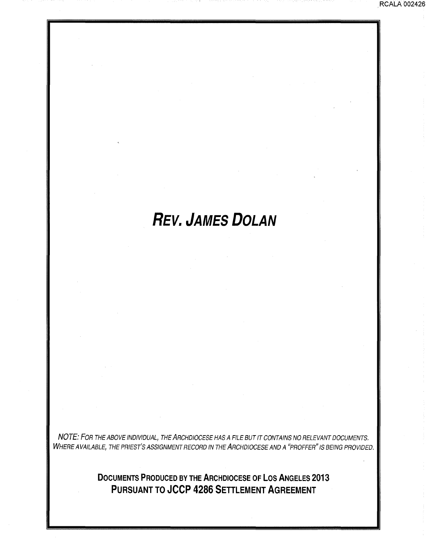### . RCALA 002426

# **REV. JAMES DOLAN**

NOTE: FOR THE ABOVE INDIVIDUAL, THE ARCHDIOCESE HAS A FILE BUT IT CONTAINS NO RELEVANT DOCUMENTS. WHERE AVAILABLE, THE PRIEST'S ASSIGNMENT RECORD IN THE ARCHDIOCESE AND A "PROFFER" IS BEING PROVIDED.

> **DOCUMENTS PRODUCED BY THE ARCHDIOCESE OF LOS ANGELES 2013 PURSUANT TO JCCP 4286 SETTLEMENT AGREEMENT**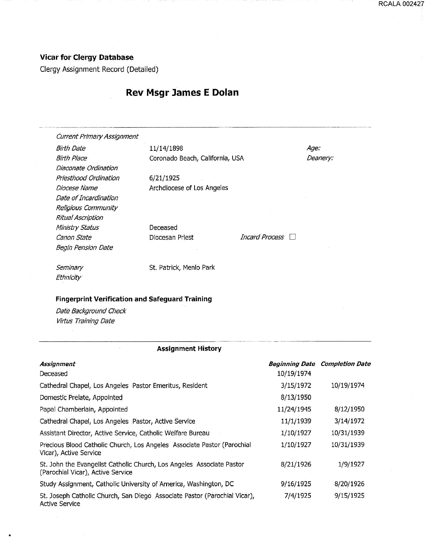## Vicar for Clergy Database

Clergy Assignment Record (Detailed)

## **Rev Msgr lames E Dolan**

................................................................. \_\_\_\_\_\_\_\_\_\_\_ \_ ---------- ·---···-·-·············•····· **Current Primary Assignment** 

Birth Date **11/14/1898** Age: Diaconate Ordination Priesthood Ordination 6/21/1925 Date of Incardination Religious Community Ritual Ascription Ministry Status Canon State Begin Pension Date

Birth Place Coronado Beach, California, USA Deanery:

Diocese Name **Archdiocese** of Los Angeles

Deceased

Diocesan Priest **Incard Process** 

....................... - .........

Seminary **Ethnicity** 

St. Patrick, Menlo Park

#### Fingerprint Verification and Safeguard Training

Date Background Check Virtus Training Date

#### Assignment History

| Assignment                                                                                                  |            | <b>Beginning Date Completion Date</b> |
|-------------------------------------------------------------------------------------------------------------|------------|---------------------------------------|
| Deceased                                                                                                    | 10/19/1974 |                                       |
| Cathedral Chapel, Los Angeles Pastor Emeritus, Resident                                                     | 3/15/1972  | 10/19/1974                            |
| Domestic Prelate, Appointed                                                                                 | 8/13/1950  |                                       |
| Papal Chamberlain, Appointed                                                                                | 11/24/1945 | 8/12/1950                             |
| Cathedral Chapel, Los Angeles Pastor, Active Service                                                        | 11/1/1939  | 3/14/1972                             |
| Assistant Director, Active Service, Catholic Welfare Bureau                                                 | 1/10/1927  | 10/31/1939                            |
| Precious Blood Catholic Church, Los Angeles Associate Pastor (Parochial<br>Vicar), Active Service           | 1/10/1927  | 10/31/1939                            |
| St. John the Evangelist Catholic Church, Los Angeles, Associate Pastor<br>(Parochial Vicar), Active Service | 8/21/1926  | 1/9/1927                              |
| Study Assignment, Catholic University of America, Washington, DC                                            | 9/16/1925  | 8/20/1926                             |
| St. Joseph Catholic Church, San Diego Associate Pastor (Parochial Vicar),<br><b>Active Service</b>          | 7/4/1925   | 9/15/1925                             |